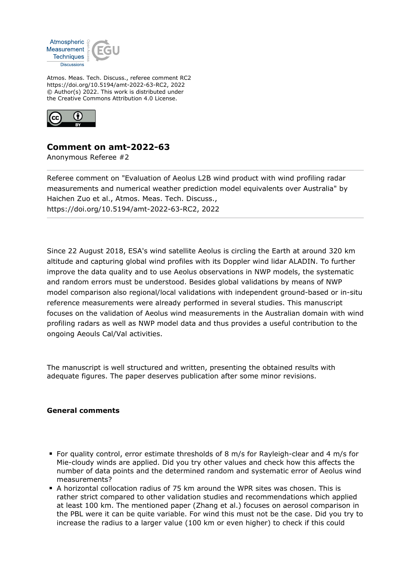

Atmos. Meas. Tech. Discuss., referee comment RC2 https://doi.org/10.5194/amt-2022-63-RC2, 2022 © Author(s) 2022. This work is distributed under the Creative Commons Attribution 4.0 License.



## **Comment on amt-2022-63**

Anonymous Referee #2

Referee comment on "Evaluation of Aeolus L2B wind product with wind profiling radar measurements and numerical weather prediction model equivalents over Australia" by Haichen Zuo et al., Atmos. Meas. Tech. Discuss., https://doi.org/10.5194/amt-2022-63-RC2, 2022

Since 22 August 2018, ESA's wind satellite Aeolus is circling the Earth at around 320 km altitude and capturing global wind profiles with its Doppler wind lidar ALADIN. To further improve the data quality and to use Aeolus observations in NWP models, the systematic and random errors must be understood. Besides global validations by means of NWP model comparison also regional/local validations with independent ground-based or in-situ reference measurements were already performed in several studies. This manuscript focuses on the validation of Aeolus wind measurements in the Australian domain with wind profiling radars as well as NWP model data and thus provides a useful contribution to the ongoing Aeouls Cal/Val activities.

The manuscript is well structured and written, presenting the obtained results with adequate figures. The paper deserves publication after some minor revisions.

## **General comments**

- For quality control, error estimate thresholds of 8 m/s for Rayleigh-clear and 4 m/s for Mie-cloudy winds are applied. Did you try other values and check how this affects the number of data points and the determined random and systematic error of Aeolus wind measurements?
- A horizontal collocation radius of 75 km around the WPR sites was chosen. This is rather strict compared to other validation studies and recommendations which applied at least 100 km. The mentioned paper (Zhang et al.) focuses on aerosol comparison in the PBL were it can be quite variable. For wind this must not be the case. Did you try to increase the radius to a larger value (100 km or even higher) to check if this could